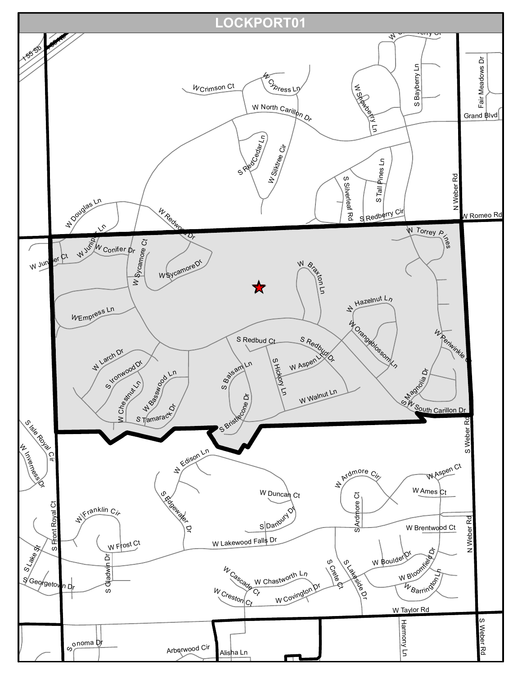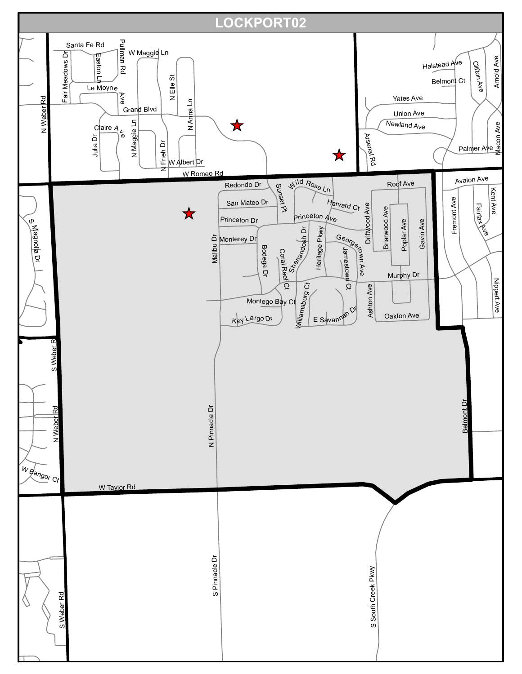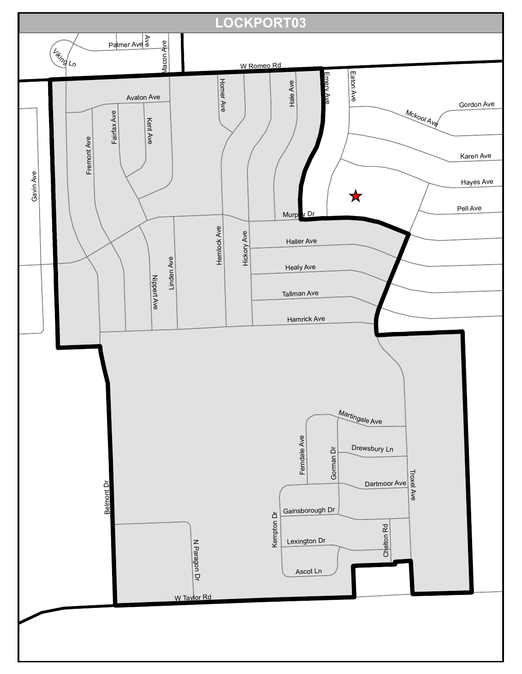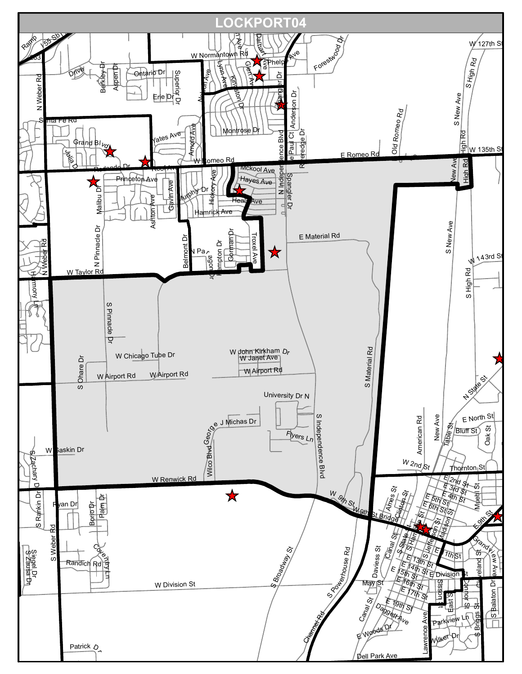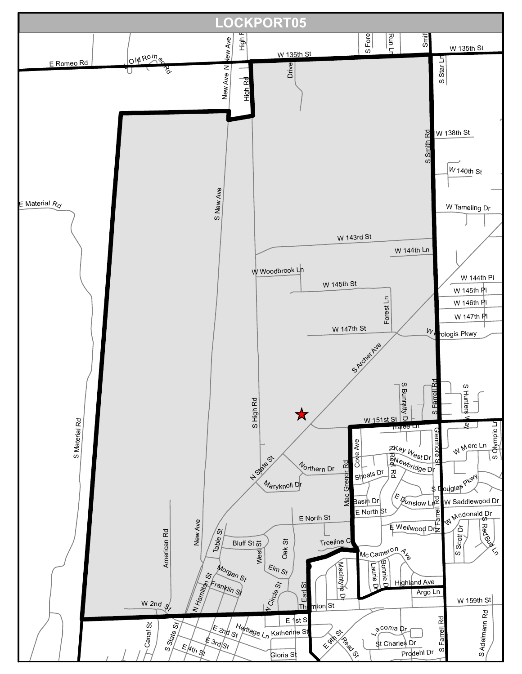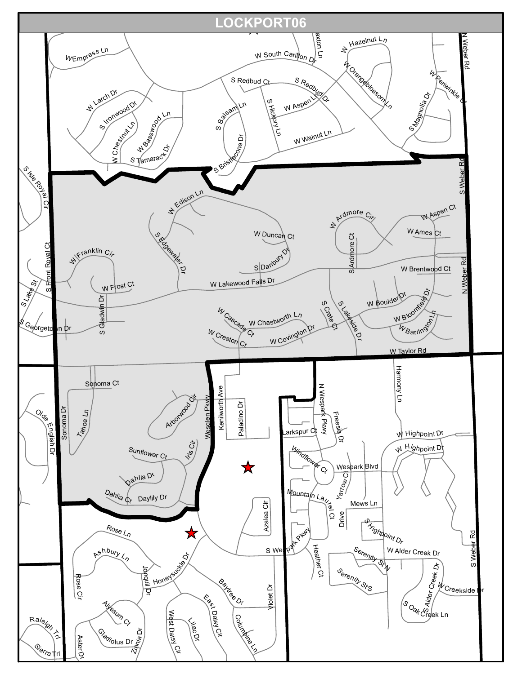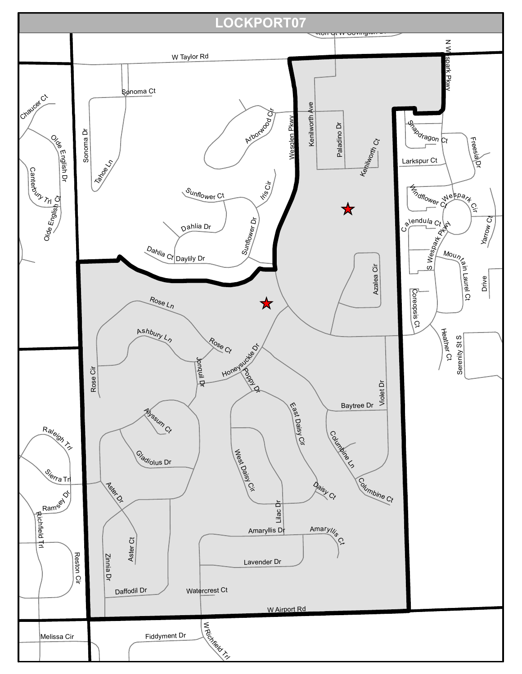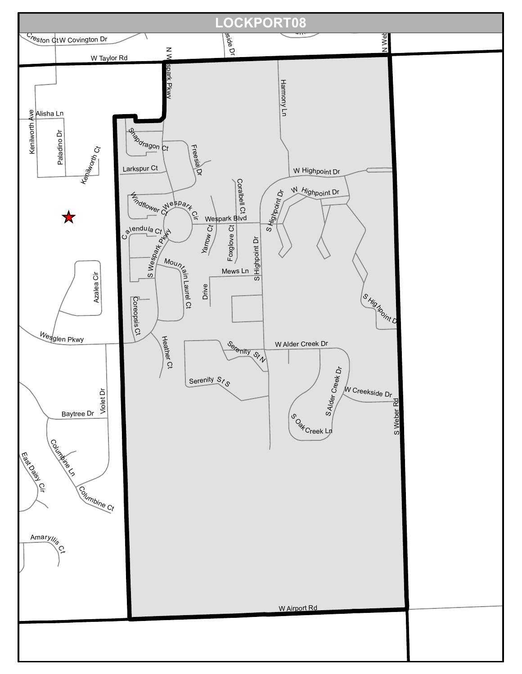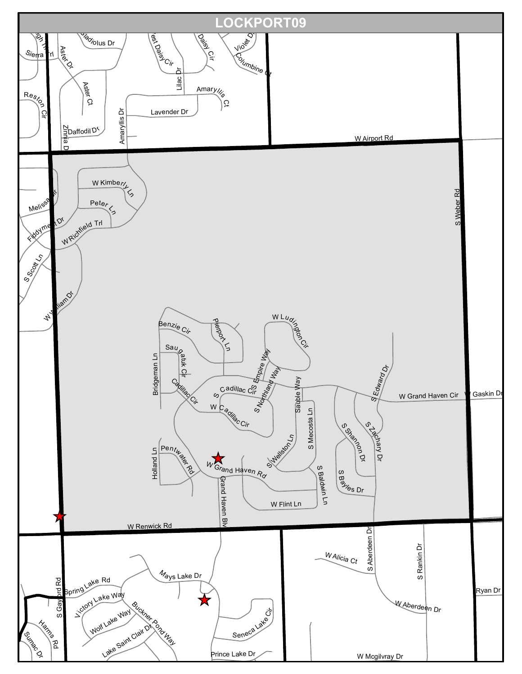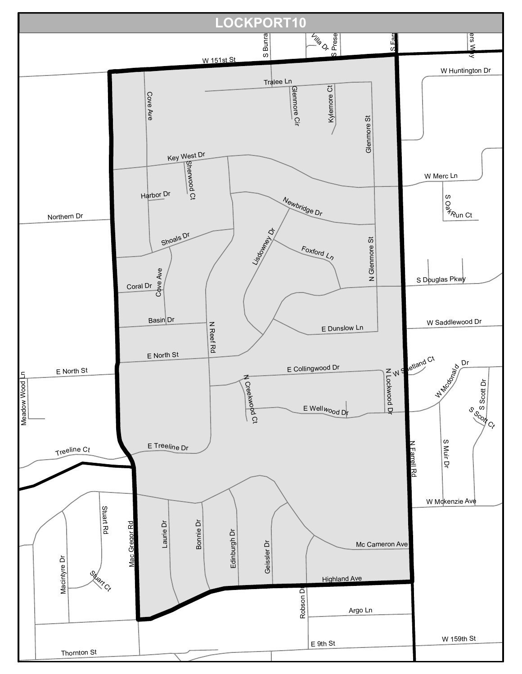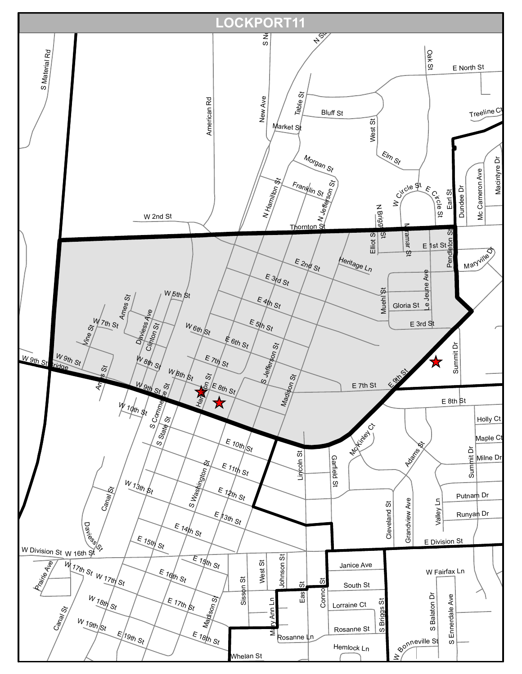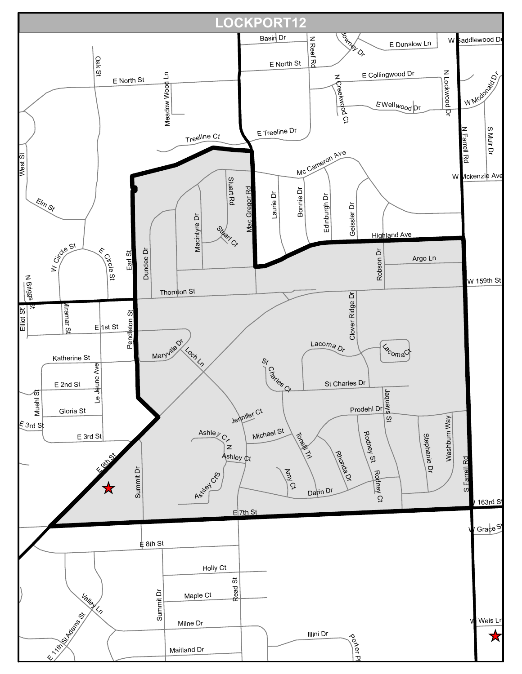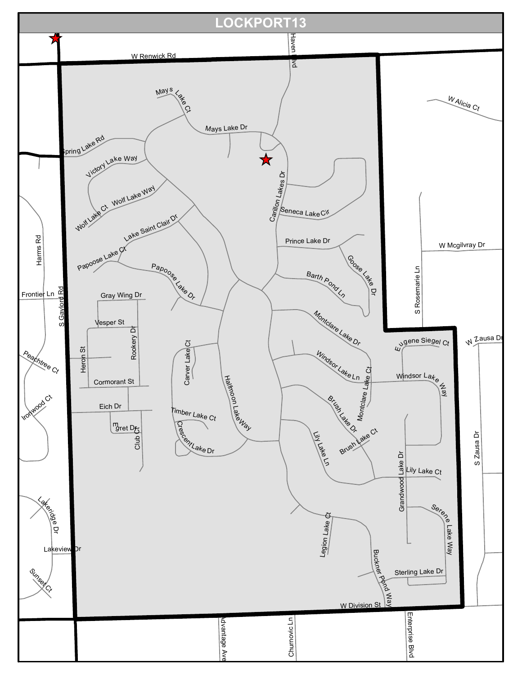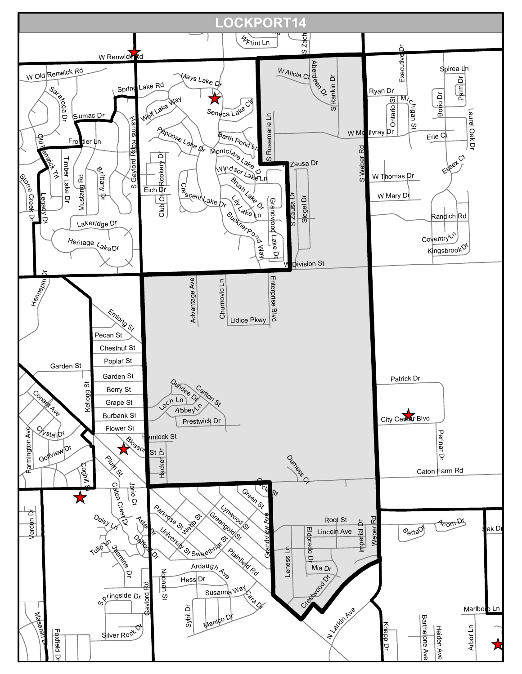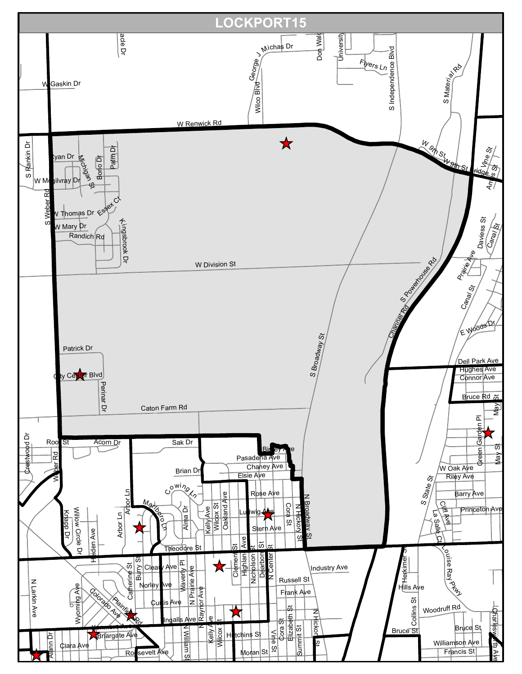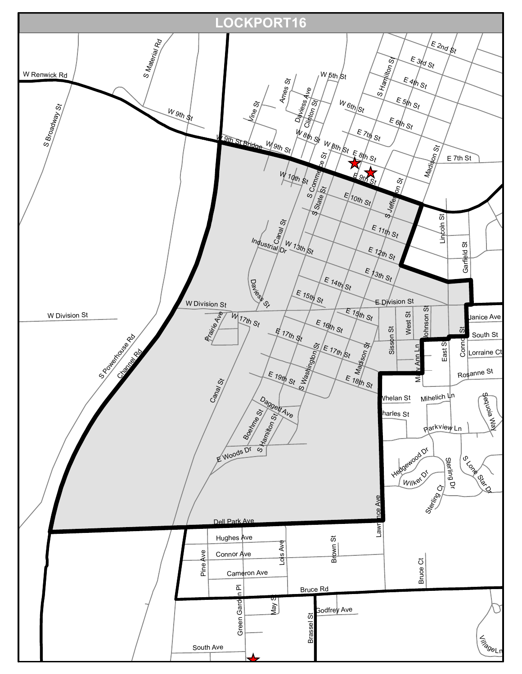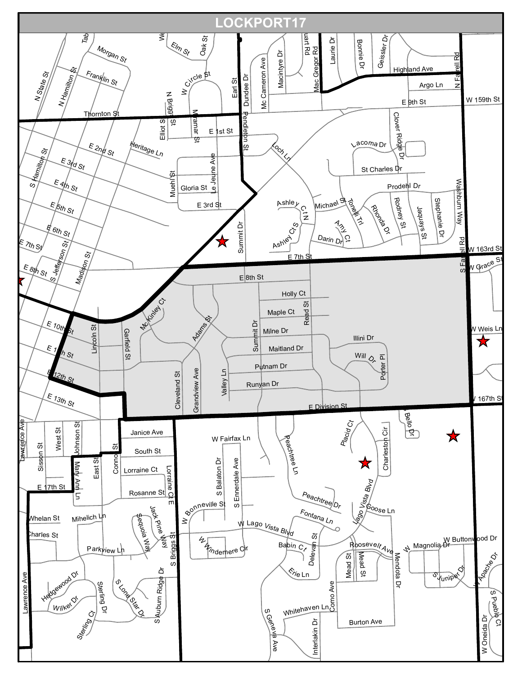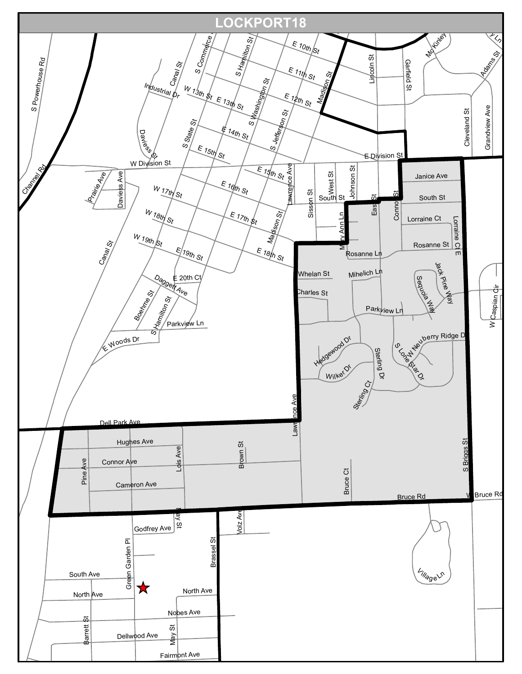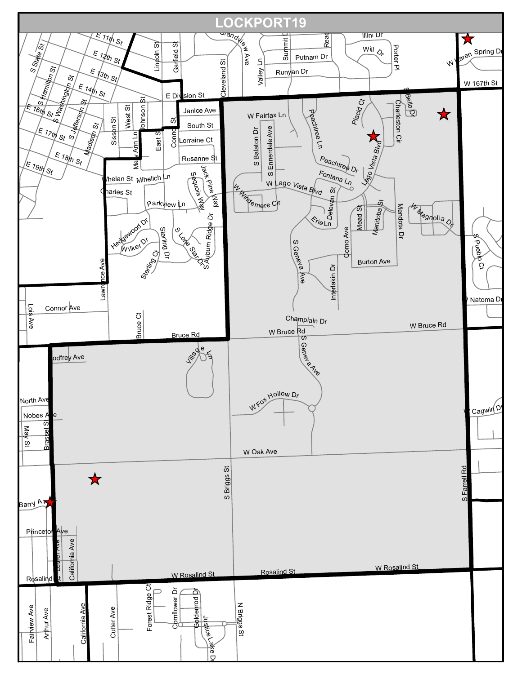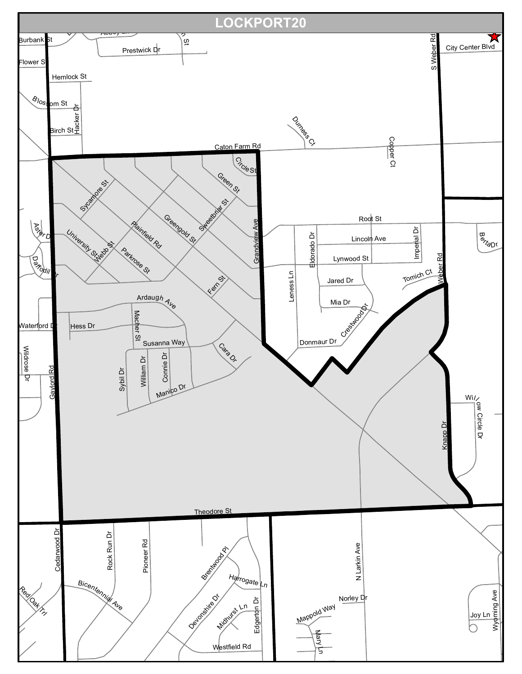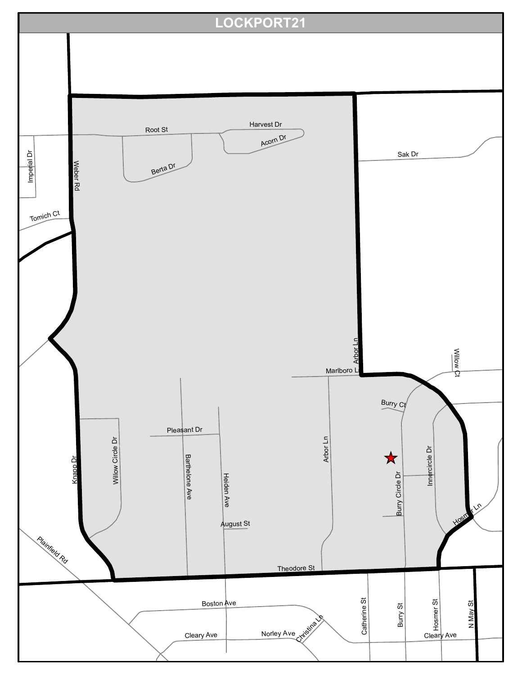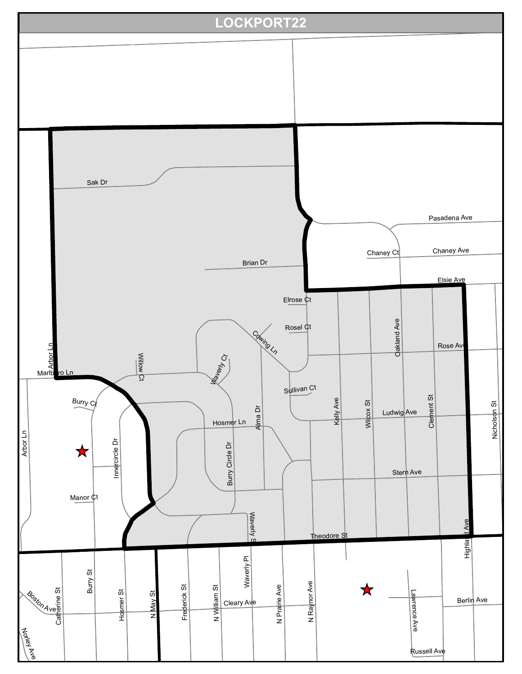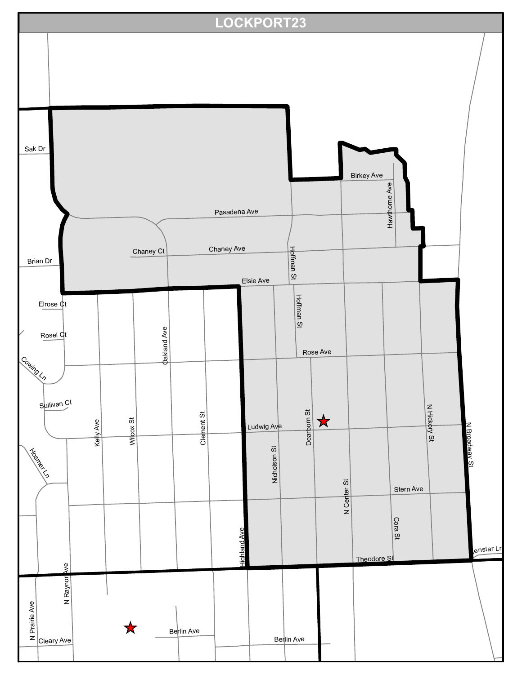